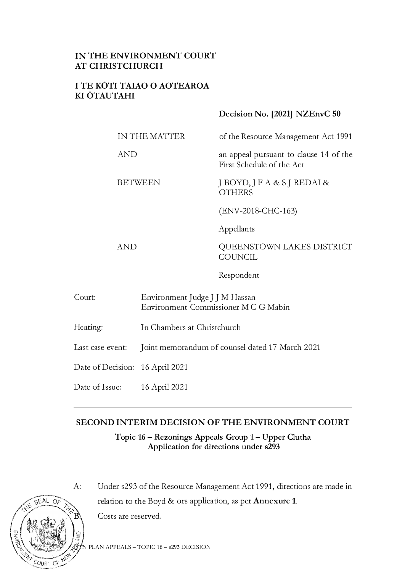# **IN THE ENVIRONMENT COURT AT CHRISTCHURCH**

## **I TE KOTI TAIAO O AOTEAROA KI OTAUTAHI**

## **Decision No. [2021] NZEnvC 50**

IN THE MATTER of the Resource Management Act 1991

> an appeal pursuant to clause 14 of the First Schedule of the Act

QUEENSTOWN LAKES DISTRICT

J *BOYD,]* FA & SJ REDAI & **OTHERS** 

(ENV-2018-CHC-163)

Appellants

AND

AND

BETWEEN

Respondent

**COUNCIL** 

- Court: Environment Judge J J M Hassan Environment Commissioner M C G Mabin
- Hearing: In Chambers at Christchurch

Last case event: Joint memorandum of counsel dated 17 March 2021

Date of Decision: 16 April 2021

Date of Issue: 16 April 2021

# **SECOND INTERIM DECISION OF THE ENVIRONMENT COURT**

**Topic 16 - Rezonings Appeals Group 1- Upper Clutha**  Application for directions under s293



A: Under s293 of the Resource Management Act 1991, directions are made in relation to the Boyd & ors application, as per **Annexure 1**. Costs are reserved.

PLAN APPEALS - TOPIC 16 - s293 DECISION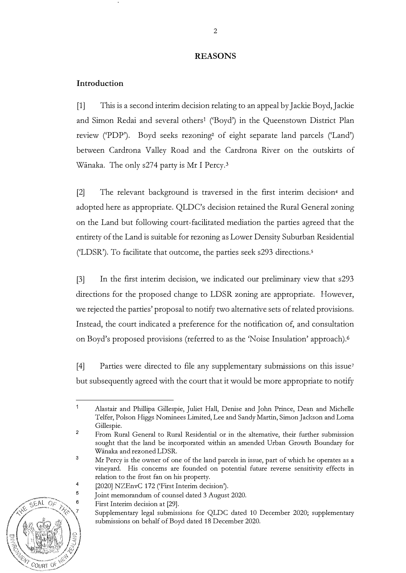### **REASONS**

## **Introduction**

[1] This is a second interim decision relating to an appeal by Jackie Boyd, Jackie and Simon Redai and several others<sup>1</sup> ('Boyd') in the Queenstown District Plan review ('PDP'). Boyd seeks rezoning<sup>2</sup> of eight separate land parcels ('Land') between Cardrona Valley Road and the Cardrona River on the outskirts of Wānaka. The only s274 party is Mr I Percy.<sup>3</sup>

[2] The relevant background is traversed in the first interim decision<sup>4</sup> and adopted here as appropriate. QLDC's decision retained the Rural General zoning on the Land but following court-facilitated mediation the parties agreed that the entirety of the Land is suitable for rezoning as Lower Density Suburban Residential ('LDSR'). To facilitate that outcome, the parties seek s293 directions.<sup>5</sup>

[3] In the first interim decision, we indicated our preliminaty view that s293 directions for the proposed change to LDSR zoning are appropriate. However, we rejected the parties' proposal to notify two alternative sets of related provisions. Instead, the court indicated a preference for the notification of, and consultation on Boyd's proposed provisions (referred to as the 'Noise Insulation' approach).<sup>6</sup>

[4] Parties were directed to file any supplementary submissions on this issue<sup>7</sup> but subsequently agreed with the court that it would be more appropriate to notify

Supplementary legal submissions for QLDC dated 10 December 2020; supplementary submissions on behalf of Boyd dated 18 December 2020.



 $\ddot{\phantom{0}}$ Alastair and Phillipa Gillespie, Juliet Hall, Denise and John Prince, Dean and Michelle Telfer, Polson Higgs Nominees Limited, Lee and Sandy Martin, Simon Jackson and Lorna Gillespie.

**<sup>2</sup>**  From Rural General to Rural Residential or in the alternative, their further submission sought that the land be incorporated within an amended Urban Growth Boundary for Wanaka and rezoned LDSR.

**<sup>3</sup>**  Mr Percy is the owner of one of the land parcels in issue, part of which he operates as a vineyard. His concerns are founded on potential future reverse sensitivity effects in relation to the frost fan on his property.

<sup>[2020]</sup> NZEnvC 172 ('First Interim decision').

Joint memorandum of counsel dated 3 August 2020.

First Interim decision at [29].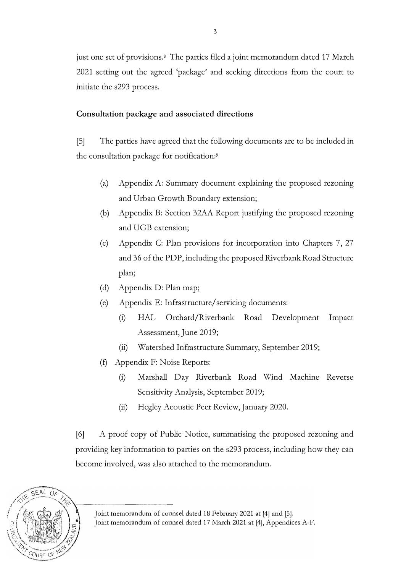just one set of provisions.<sup>8</sup> The parties filed a joint memorandum dated 17 March 2021 setting out the agreed 'package' and seeking directions from the court to initiate the s293 process.

# **Consultation package and associated directions**

[S] The parties have agreed that the following documents are to be included in the consultation package for notification:<sup>9</sup>

- (a) Appendix A: Summaty document explaining the proposed rezoning and Urban Growth Boundary extension;
- (b) Appendix B: Section 32AA Report justifying the proposed rezoning and UGB extension;
- (c) Appendix C: Plan provisions for incorporation into Chapters 7, 27 and 36 of the PDP, including the proposed Riverbank Road Structure plan;
- (d) Appendix D: Plan map;
- (e) Appendix E: Infrastructure/servicing documents:
	- (i) HAL Orchard/Riverbank Road Development Impact Assessment, June 2019;
	- (ii) Watershed Infrastructure Summaty, September 2019;
- (f) Appendix F: Noise Reports:
	- (i) Marshall Day Riverbank Road Wind Machine Reverse Sensitivity Analysis, September 2019;
	- (ii) Hegley Acoustic Peer Review, January 2020.

[6] A proof copy of Public Notice, summarising the proposed rezoning and providing key information to parties on the s293 process, including how they can become involved, was also attached to the memorandum.



Joint memorandum of counsel dated 18 February 2021 at [4] and [5].

Joint memorandum of counsel dated 17 March 2021 at [4], Appendices A-F.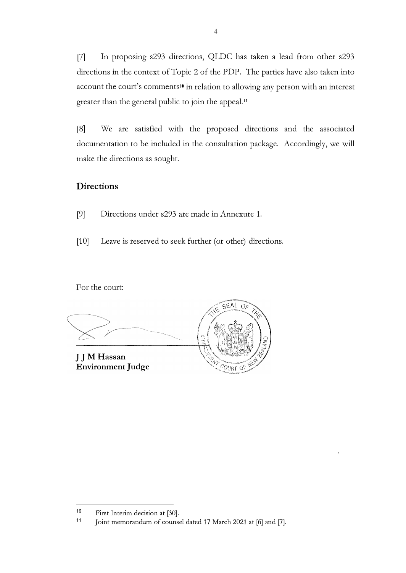[7] In proposing s293 directions, QLDC has taken a lead from other s293 directions in the context of Topic 2 of the PDP. The parties have also taken into account the court's comments<sup>10</sup> in relation to allowing any person with an interest greater than the general public to join the appeal. <sup>1</sup><sup>1</sup>

[8] We are satisfied with the proposed directions and the associated documentation to be included in the consultation package. Accordingly, we will make the directions as sought.

# **Directions**

- [9] Directions under s293 are made in Annexure 1.
- [10] Leave is reserved to seek further (or other) directions.

For the court:

SEAL  $O_F$ **J J M Hassan Environment Judge**  COURT OF

**<sup>10</sup>**  First Interim decision at [30).

**<sup>11</sup>**  Joint memorandum of counsel dated 17 March 2021 at [6] and [7].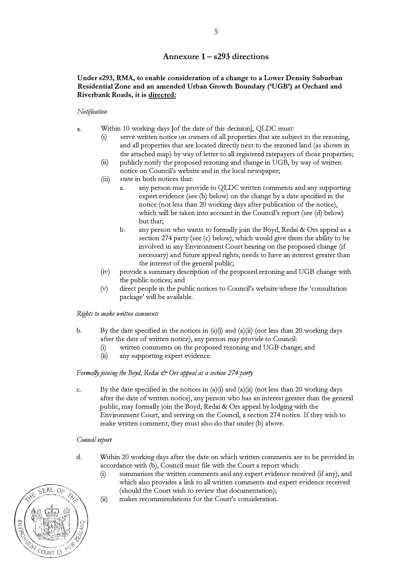### **Annexure 1- s293 directions**

### **Under s293, RMA, to enable consideration of a change to a Lower Density Suburban Residential Zone and an amended Urban Growth Boundary ('UGB') at Orchard and Riverbank Roads, it is directed:**

#### *Notification*

- a. Within 10 working days [of the date of this decision], QLDC must:
	- $(i)$  serve written notice on owners of all properties that are subject to the rezoning, and all properties that are located directly next to the rezoned land (as shown in the attached map) by way of letter to all registered ratepayers of those properties;
	- (ii) publicly notify the proposed rezoning and change in UGB, by way of written notice on Council's website and in the local newspaper;
	- (iii) state in both notices that:
		- a. any person may provide to QLDC written comments and any supporting expert evidence (see (b) below) on the change by a date specified in the notice (not less than 20 working days after publication of the notice), which will be taken into account in the Council's report (see (d) below) but that;
		- b. any person who wants to formally join the Boyd, Redai & Ors appeal as a section 274 party (see  $(c)$  below), which would give them the ability to be involved in any Environment Court hearing on the proposed change (if necessary) and future appeal rights, needs to have an interest greater than the interest of the general public;
	- $(iv)$  provide a summary description of the proposed rezoning and UGB change with the public notices; and
	- (v) direct people in the public notices to Council's website where the 'consultation package' will be available.

#### *Rights to make written comments*

- b. By the date specified in the notices in (a)(i) and (a)(ii) (not less than 20 working days after the date of written notice), any person may provide to Council:
	- (i) written comments on the proposed rezoning and UGB change; and  $(i)$  any supporting expert evidence.
	- any supporting expert evidence.

#### *Formally joining the Boyd, Redal*  $\mathcal O$ *rs appeal as a section 274 party*

c. By the date specified in the notices in (a)(i) and (a)(ii) (not less than 20 working days after the date of written notice), any person who has an interest greater than the general public, may formally join the Boyd, Redai & Ors appeal by lodging with the Environment Court, and serving on the Council, a section 274 notice. If they wish to make written comment, they must also do that under (b) above.

#### *Cottntil report*

- d. Within 20 working days after the date on which written comments are to be provided in accordance with (6), Council must file with the Court a report which:
	- (i) summarises the written comments and any expert evidence received (if any), and which also provides a link to all written comments and expert evidence received (should the Court wish to review that documentation);
	- (ii) makes recommendations for the Court's consideration.